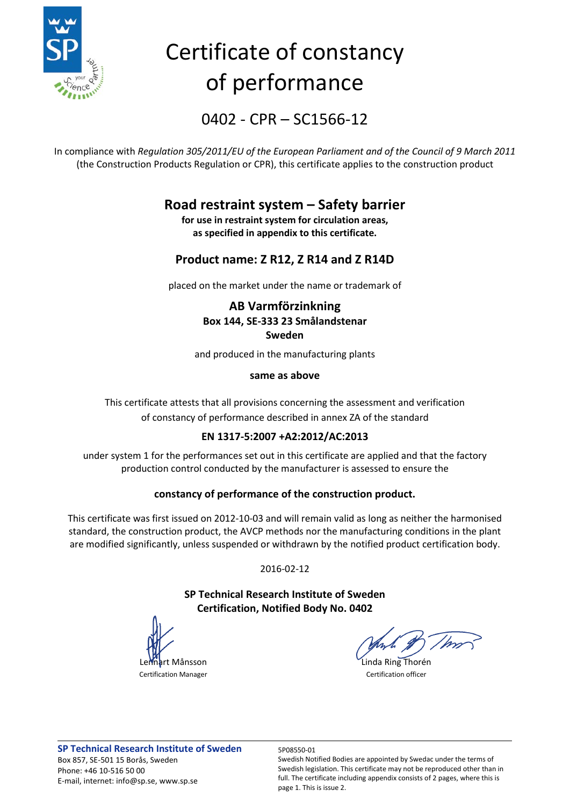

# Certificate of constancy of performance

0402 - CPR – SC1566-12

In compliance with *Regulation 305/2011/EU of the European Parliament and of the Council of 9 March 2011* (the Construction Products Regulation or CPR), this certificate applies to the construction product

## **Road restraint system – Safety barrier**

**for use in restraint system for circulation areas, as specified in appendix to this certificate.**

### **Product name: Z R12, Z R14 and Z R14D**

placed on the market under the name or trademark of

### **AB Varmförzinkning Box 144, SE-333 23 Smålandstenar Sweden**

and produced in the manufacturing plants

### **same as above**

This certificate attests that all provisions concerning the assessment and verification of constancy of performance described in annex ZA of the standard

### **EN 1317-5:2007 +A2:2012/AC:2013**

under system 1 for the performances set out in this certificate are applied and that the factory production control conducted by the manufacturer is assessed to ensure the

### **constancy of performance of the construction product.**

This certificate was first issued on 2012-10-03 and will remain valid as long as neither the harmonised standard, the construction product, the AVCP methods nor the manufacturing conditions in the plant are modified significantly, unless suspended or withdrawn by the notified product certification body.

2016-02-12

**SP Technical Research Institute of Sweden Certification, Notified Body No. 0402**

**art Månsson** Linda Ring Thorén Certification Manager Certification officer

Swedish Notified Bodies are appointed by Swedac under the terms of Swedish legislation. This certificate may not be reproduced other than in full. The certificate including appendix consists of 2 pages, where this is page 1. This is issue 2.